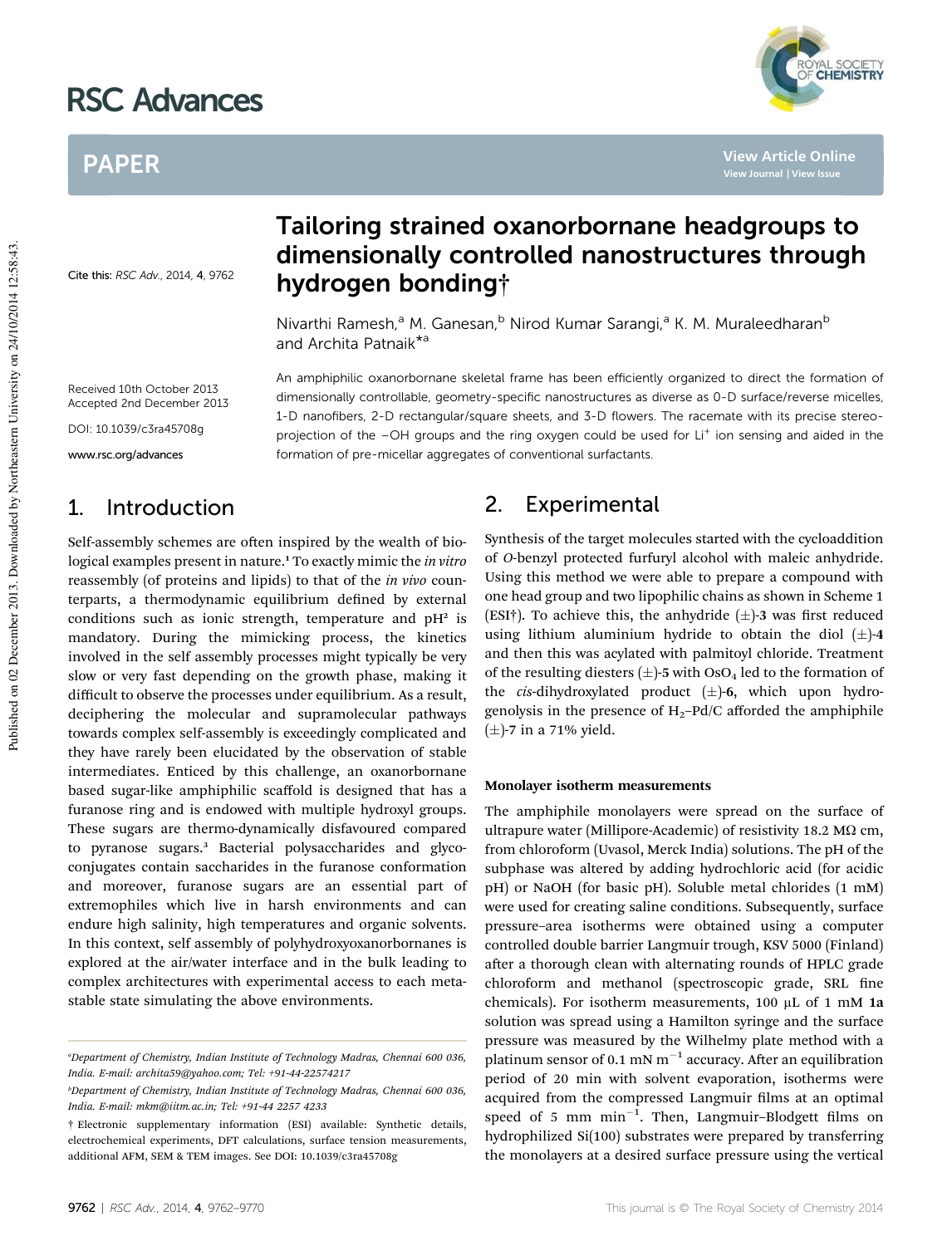# RSC Advances

## PAPER

Cite this: RSC Adv., 2014, 4, 9762

### Tailoring strained oxanorbornane headgroups to dimensionally controlled nanostructures through hydrogen bonding†

An amphiphilic oxanorbornane skeletal frame has been efficiently organized to direct the formation of dimensionally controllable, geometry-specific nanostructures as diverse as 0-D surface/reverse micelles, 1-D nanofibers, 2-D rectangular/square sheets, and 3-D flowers. The racemate with its precise stereoprojection of the -OH groups and the ring oxygen could be used for Li<sup>+</sup> ion sensing and aided in the

Nivarthi Ramesh,<sup>a</sup> M. Ganesan,<sup>b</sup> Nirod Kumar Sarangi,<sup>a</sup> K. M. Muraleedharan<sup>b</sup> and Archita Patnaik<sup>\*a</sup>

formation of pre-micellar aggregates of conventional surfactants.

Received 10th October 2013 Accepted 2nd December 2013

DOI: 10.1039/c3ra45708g

www.rsc.org/advances

### 1. Introduction

Self-assembly schemes are often inspired by the wealth of biological examples present in nature.<sup>1</sup> To exactly mimic the *in vitro* reassembly (of proteins and lipids) to that of the *in vivo* counterparts, a thermodynamic equilibrium defined by external conditions such as ionic strength, temperature and  $pH^2$  is mandatory. During the mimicking process, the kinetics involved in the self assembly processes might typically be very slow or very fast depending on the growth phase, making it difficult to observe the processes under equilibrium. As a result, deciphering the molecular and supramolecular pathways towards complex self-assembly is exceedingly complicated and they have rarely been elucidated by the observation of stable intermediates. Enticed by this challenge, an oxanorbornane based sugar-like amphiphilic scaffold is designed that has a furanose ring and is endowed with multiple hydroxyl groups. These sugars are thermo-dynamically disfavoured compared to pyranose sugars.<sup>3</sup> Bacterial polysaccharides and glycoconjugates contain saccharides in the furanose conformation and moreover, furanose sugars are an essential part of extremophiles which live in harsh environments and can endure high salinity, high temperatures and organic solvents. In this context, self assembly of polyhydroxyoxanorbornanes is explored at the air/water interface and in the bulk leading to complex architectures with experimental access to each metastable state simulating the above environments.

### 2. Experimental

Synthesis of the target molecules started with the cycloaddition of *O*-benzyl protected furfuryl alcohol with maleic anhydride. Using this method we were able to prepare a compound with one head group and two lipophilic chains as shown in Scheme 1 (ESI†). To achieve this, the anhydride  $(\pm)$ -3 was first reduced using lithium aluminium hydride to obtain the diol  $(\pm)$ -4 and then this was acylated with palmitoyl chloride. Treatment of the resulting diesters  $(\pm)$ -5 with OsO<sub>4</sub> led to the formation of the *cis*-dihydroxylated product  $(\pm)$ -6, which upon hydrogenolysis in the presence of  $H_2$ -Pd/C afforded the amphiphile  $(\pm)$ -7 in a 71% yield.

#### Monolayer isotherm measurements

The amphiphile monolayers were spread on the surface of ultrapure water (Millipore-Academic) of resistivity 18.2 M $\Omega$  cm, from chloroform (Uvasol, Merck India) solutions. The pH of the subphase was altered by adding hydrochloric acid (for acidic pH) or NaOH (for basic pH). Soluble metal chlorides (1 mM) were used for creating saline conditions. Subsequently, surface pressure–area isotherms were obtained using a computer controlled double barrier Langmuir trough, KSV 5000 (Finland) after a thorough clean with alternating rounds of HPLC grade chloroform and methanol (spectroscopic grade, SRL fine chemicals). For isotherm measurements, 100  $\mu$ L of 1 mM 1a solution was spread using a Hamilton syringe and the surface pressure was measured by the Wilhelmy plate method with a platinum sensor of 0.1 mN  $m^{-1}$  accuracy. After an equilibration period of 20 min with solvent evaporation, isotherms were acquired from the compressed Langmuir films at an optimal speed of 5 mm  $min^{-1}$ . Then, Langmuir-Blodgett films on hydrophilized Si(100) substrates were prepared by transferring the monolayers at a desired surface pressure using the vertical



**View Article Online**

*<sup>a</sup>Department of Chemistry, Indian Institute of Technology Madras, Chennai 600 036, India. E-mail: archita59@yahoo.com; Tel: +91-44-22574217*

*<sup>b</sup>Department of Chemistry, Indian Institute of Technology Madras, Chennai 600 036, India. E-mail: mkm@iitm.ac.in; Tel: +91-44 2257 4233*

<sup>†</sup> Electronic supplementary information (ESI) available: Synthetic details, electrochemical experiments, DFT calculations, surface tension measurements, additional AFM, SEM & TEM images. See DOI: 10.1039/c3ra45708g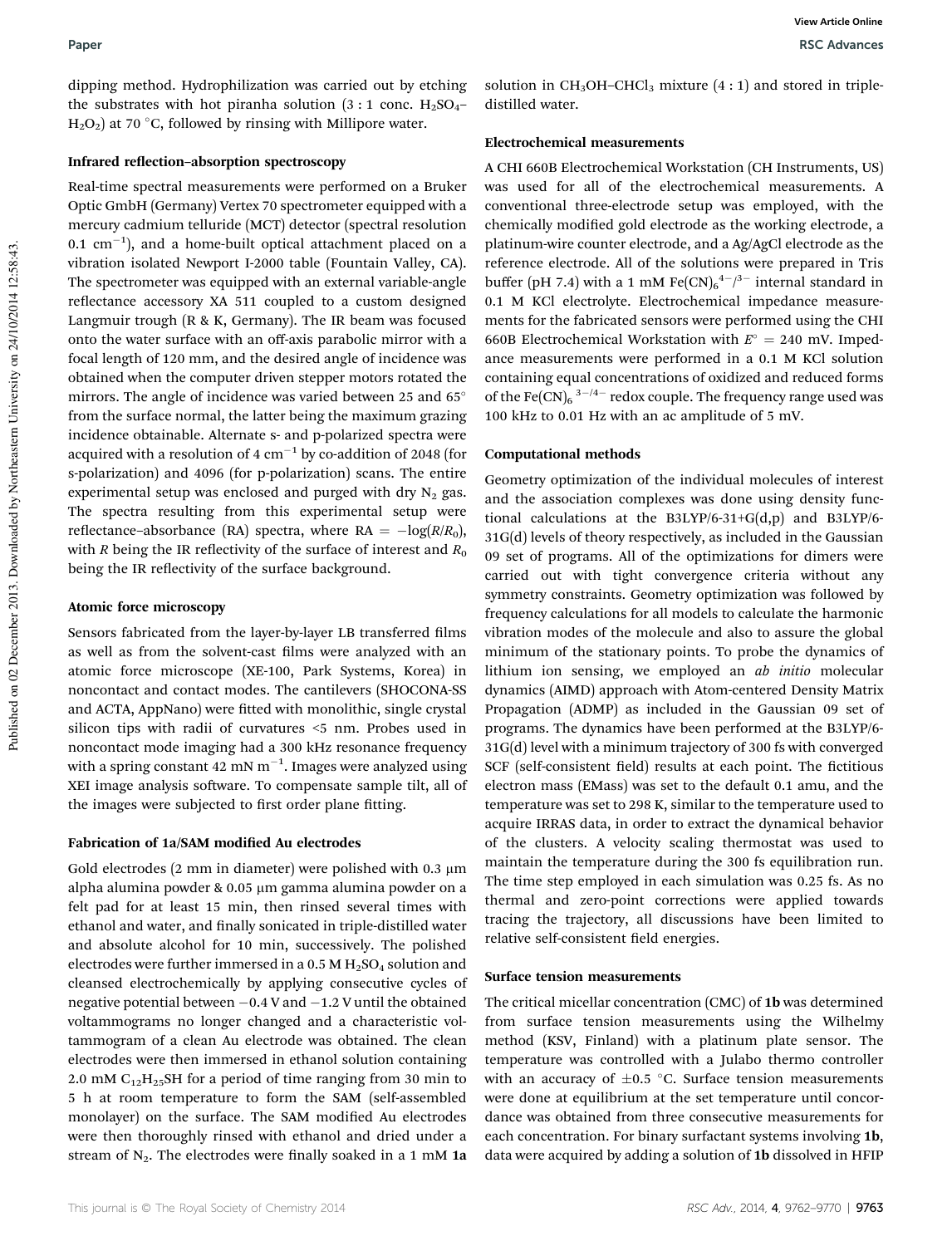dipping method. Hydrophilization was carried out by etching the substrates with hot piranha solution  $(3:1)$  conc. H<sub>2</sub>SO<sub>4</sub>–  $H_2O_2$ ) at 70 °C, followed by rinsing with Millipore water.

#### Infrared reflection-absorption spectroscopy

Real-time spectral measurements were performed on a Bruker Optic GmbH (Germany) Vertex 70 spectrometer equipped with a mercury cadmium telluride (MCT) detector (spectral resolution  $0.1 \text{ cm}^{-1}$ ), and a home-built optical attachment placed on a vibration isolated Newport I-2000 table (Fountain Valley, CA). The spectrometer was equipped with an external variable-angle reflectance accessory XA 511 coupled to a custom designed Langmuir trough (R & K, Germany). The IR beam was focused onto the water surface with an off-axis parabolic mirror with a focal length of 120 mm, and the desired angle of incidence was obtained when the computer driven stepper motors rotated the mirrors. The angle of incidence was varied between 25 and 65° from the surface normal, the latter being the maximum grazing incidence obtainable. Alternate s- and p-polarized spectra were acquired with a resolution of 4  $cm^{-1}$  by co-addition of 2048 (for s-polarization) and 4096 (for p-polarization) scans. The entire experimental setup was enclosed and purged with dry  $N_2$  gas. The spectra resulting from this experimental setup were reflectance–absorbance (RA) spectra, where  $RA = -log(R/R_0)$ , with *R* being the IR reflectivity of the surface of interest and  $R_0$ being the IR reflectivity of the surface background.

#### Atomic force microscopy

Sensors fabricated from the layer-by-layer LB transferred films as well as from the solvent-cast films were analyzed with an atomic force microscope (XE-100, Park Systems, Korea) in noncontact and contact modes. The cantilevers (SHOCONA-SS and ACTA, AppNano) were fitted with monolithic, single crystal silicon tips with radii of curvatures <5 nm. Probes used in noncontact mode imaging had a 300 kHz resonance frequency with a spring constant 42 mN m<sup>-1</sup>. Images were analyzed using XEI image analysis software. To compensate sample tilt, all of the images were subjected to first order plane fitting.

#### Fabrication of 1a/SAM modified Au electrodes

Gold electrodes  $(2 \text{ mm in diameter})$  were polished with 0.3  $\mu$ m alpha alumina powder & 0.05 µm gamma alumina powder on a felt pad for at least 15 min, then rinsed several times with ethanol and water, and finally sonicated in triple-distilled water and absolute alcohol for 10 min, successively. The polished electrodes were further immersed in a 0.5 M  $\rm H_2SO_4$  solution and cleansed electrochemically by applying consecutive cycles of negative potential between  $-0.4$  V and  $-1.2$  V until the obtained voltammograms no longer changed and a characteristic voltammogram of a clean Au electrode was obtained. The clean electrodes were then immersed in ethanol solution containing 2.0 mM  $C_{12}H_{25}SH$  for a period of time ranging from 30 min to 5 h at room temperature to form the SAM (self-assembled monolayer) on the surface. The SAM modified Au electrodes were then thoroughly rinsed with ethanol and dried under a stream of  $N_2$ . The electrodes were finally soaked in a 1 mM 1a

solution in  $CH<sub>3</sub>OH–CHCl<sub>3</sub>$  mixture (4 : 1) and stored in tripledistilled water.

#### Electrochemical measurements

A CHI 660B Electrochemical Workstation (CH Instruments, US) was used for all of the electrochemical measurements. A conventional three-electrode setup was employed, with the chemically modified gold electrode as the working electrode, a platinum-wire counter electrode, and a Ag/AgCl electrode as the reference electrode. All of the solutions were prepared in Tris buffer (pH 7.4) with a 1 mM  $\text{Fe(CN)}_6^{4-}/^{3-}$  internal standard in 0.1 M KCl electrolyte. Electrochemical impedance measurements for the fabricated sensors were performed using the CHI 660B Electrochemical Workstation with  $E^{\circ} = 240$  mV. Impedance measurements were performed in a 0.1 M KCl solution containing equal concentrations of oxidized and reduced forms of the Fe(CN)<sub>6</sub><sup>3-/4-</sup> redox couple. The frequency range used was 100 kHz to 0.01 Hz with an ac amplitude of 5 mV.

#### Computational methods

Geometry optimization of the individual molecules of interest and the association complexes was done using density functional calculations at the B3LYP/6-31+G(d,p) and B3LYP/6- 31G(d) levels of theory respectively, as included in the Gaussian 09 set of programs. All of the optimizations for dimers were carried out with tight convergence criteria without any symmetry constraints. Geometry optimization was followed by frequency calculations for all models to calculate the harmonic vibration modes of the molecule and also to assure the global minimum of the stationary points. To probe the dynamics of lithium ion sensing, we employed an *ab initio* molecular dynamics (AIMD) approach with Atom-centered Density Matrix Propagation (ADMP) as included in the Gaussian 09 set of programs. The dynamics have been performed at the B3LYP/6- 31G(d) level with a minimum trajectory of 300 fs with converged SCF (self-consistent field) results at each point. The fictitious electron mass (EMass) was set to the default 0.1 amu, and the temperature was set to 298 K, similar to the temperature used to acquire IRRAS data, in order to extract the dynamical behavior of the clusters. A velocity scaling thermostat was used to maintain the temperature during the 300 fs equilibration run. The time step employed in each simulation was 0.25 fs. As no thermal and zero-point corrections were applied towards tracing the trajectory, all discussions have been limited to relative self-consistent field energies.

#### Surface tension measurements

The critical micellar concentration (CMC) of 1b was determined from surface tension measurements using the Wilhelmy method (KSV, Finland) with a platinum plate sensor. The temperature was controlled with a Julabo thermo controller with an accuracy of  $\pm 0.5$  °C. Surface tension measurements were done at equilibrium at the set temperature until concordance was obtained from three consecutive measurements for each concentration. For binary surfactant systems involving 1b, data were acquired by adding a solution of 1b dissolved in HFIP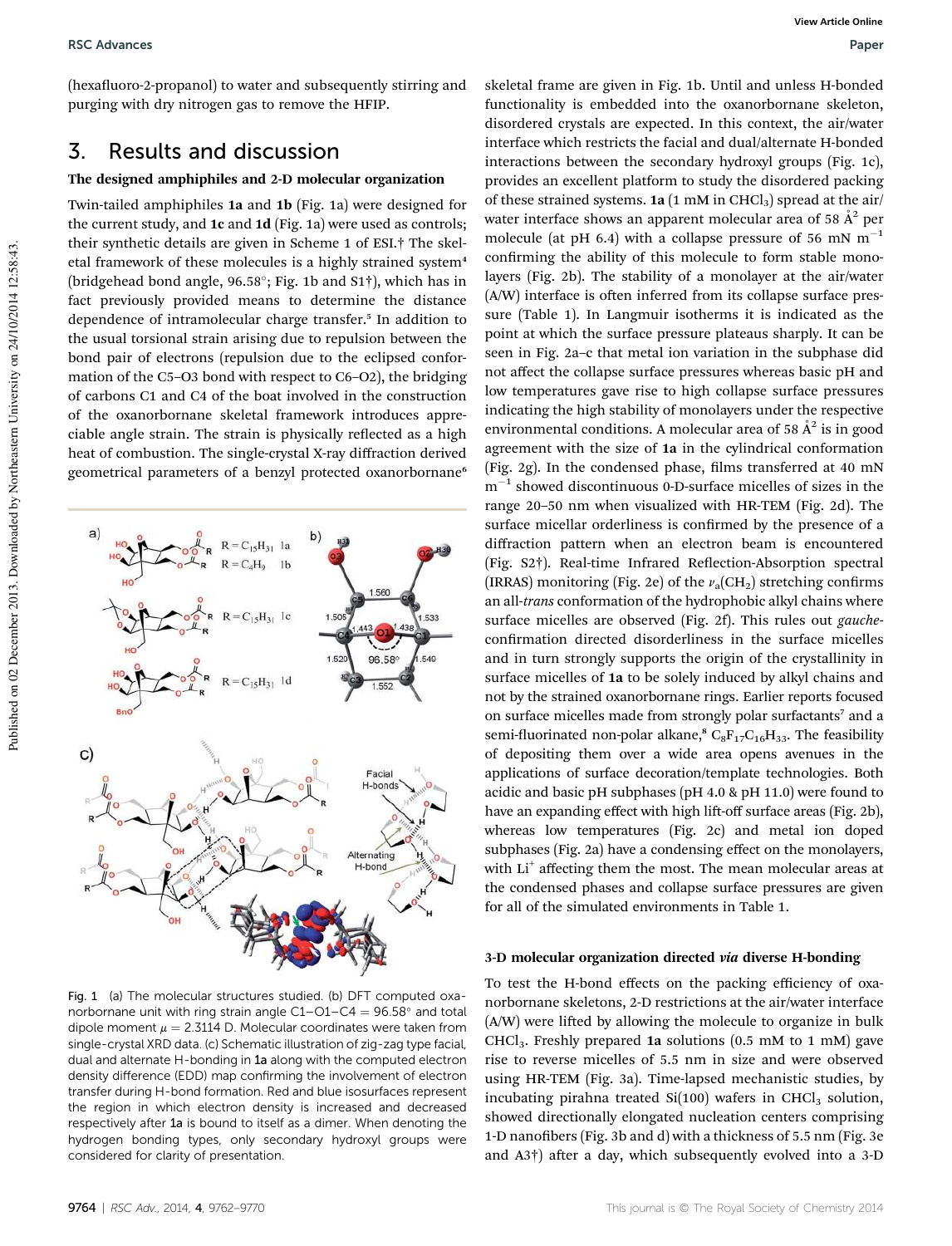(hexafluoro-2-propanol) to water and subsequently stirring and purging with dry nitrogen gas to remove the HFIP.

### 3. Results and discussion

#### The designed amphiphiles and 2-D molecular organization

Twin-tailed amphiphiles 1a and 1b (Fig. 1a) were designed for the current study, and 1c and 1d (Fig. 1a) were used as controls; their synthetic details are given in Scheme 1 of ESI.† The skeletal framework of these molecules is a highly strained system<sup>4</sup> (bridgehead bond angle, 96.58°; Fig. 1b and S1<sup>†</sup>), which has in fact previously provided means to determine the distance dependence of intramolecular charge transfer.<sup>5</sup> In addition to the usual torsional strain arising due to repulsion between the bond pair of electrons (repulsion due to the eclipsed conformation of the C5–O3 bond with respect to C6–O2), the bridging of carbons C1 and C4 of the boat involved in the construction of the oxanorbornane skeletal framework introduces appreciable angle strain. The strain is physically reflected as a high heat of combustion. The single-crystal X-ray diffraction derived geometrical parameters of a benzyl protected oxanorbornane<sup>6</sup>

> $R = C_{15}H_{31}$  la  $R = C_4H_9$  1b

 $R = C_{15}H_{31}$  1c

 $R = C_1 s H_{31} 1d$ 

1.560

96.589

Facial H-bonds

Alternating H-bond

 $533$  $.438$ 

549

 $150$ 

1.52



hydrogen bonding types, only secondary hydroxyl groups were

skeletal frame are given in Fig. 1b. Until and unless H-bonded functionality is embedded into the oxanorbornane skeleton, disordered crystals are expected. In this context, the air/water interface which restricts the facial and dual/alternate H-bonded interactions between the secondary hydroxyl groups (Fig. 1c), provides an excellent platform to study the disordered packing of these strained systems.  $1a(1 \text{ mM in CHCl}_3)$  spread at the air/ water interface shows an apparent molecular area of 58  $\AA^2$  per molecule (at pH 6.4) with a collapse pressure of 56 mN  $m^{-1}$ confirming the ability of this molecule to form stable monolayers (Fig. 2b). The stability of a monolayer at the air/water (A/W) interface is often inferred from its collapse surface pressure (Table 1). In Langmuir isotherms it is indicated as the point at which the surface pressure plateaus sharply. It can be seen in Fig. 2a–c that metal ion variation in the subphase did not affect the collapse surface pressures whereas basic pH and low temperatures gave rise to high collapse surface pressures indicating the high stability of monolayers under the respective environmental conditions. A molecular area of 58  $A^2$  is in good agreement with the size of 1a in the cylindrical conformation (Fig. 2g). In the condensed phase, films transferred at 40 mN  $m^{-1}$  showed discontinuous 0-D-surface micelles of sizes in the range 20–50 nm when visualized with HR-TEM (Fig. 2d). The surface micellar orderliness is confirmed by the presence of a diffraction pattern when an electron beam is encountered (Fig. S2†). Real-time Infrared Reflection-Absorption spectral (IRRAS) monitoring (Fig. 2e) of the  $v_a$ (CH<sub>2</sub>) stretching confirms an all-*trans* conformation of the hydrophobic alkyl chains where surface micelles are observed (Fig. 2f). This rules out *gauche*confirmation directed disorderliness in the surface micelles and in turn strongly supports the origin of the crystallinity in surface micelles of 1a to be solely induced by alkyl chains and not by the strained oxanorbornane rings. Earlier reports focused on surface micelles made from strongly polar surfactants<sup>7</sup> and a semi-fluorinated non-polar alkane,<sup>8</sup> C<sub>8</sub>F<sub>17</sub>C<sub>16</sub>H<sub>33</sub>. The feasibility of depositing them over a wide area opens avenues in the applications of surface decoration/template technologies. Both acidic and basic pH subphases (pH 4.0 & pH 11.0) were found to have an expanding effect with high lift-off surface areas (Fig. 2b), whereas low temperatures (Fig. 2c) and metal ion doped subphases (Fig. 2a) have a condensing effect on the monolayers, with Li<sup>+</sup> affecting them the most. The mean molecular areas at the condensed phases and collapse surface pressures are given for all of the simulated environments in Table 1.

#### 3-D molecular organization directed via diverse H-bonding

To test the H-bond effects on the packing efficiency of oxanorbornane skeletons, 2-D restrictions at the air/water interface  $(A/W)$  were lifted by allowing the molecule to organize in bulk CHCl<sub>3</sub>. Freshly prepared 1a solutions  $(0.5 \text{ mM to } 1 \text{ mM})$  gave rise to reverse micelles of 5.5 nm in size and were observed using HR-TEM (Fig. 3a). Time-lapsed mechanistic studies, by incubating pirahna treated  $Si(100)$  wafers in CHCl<sub>3</sub> solution, showed directionally elongated nucleation centers comprising 1-D nanofibers (Fig. 3b and d) with a thickness of 5.5 nm (Fig. 3e and  $(A3\dagger)$  after a day, which subsequently evolved into a 3-D

 $a$ 

 $\mathbf{C}$ 

considered for clarity of presentation.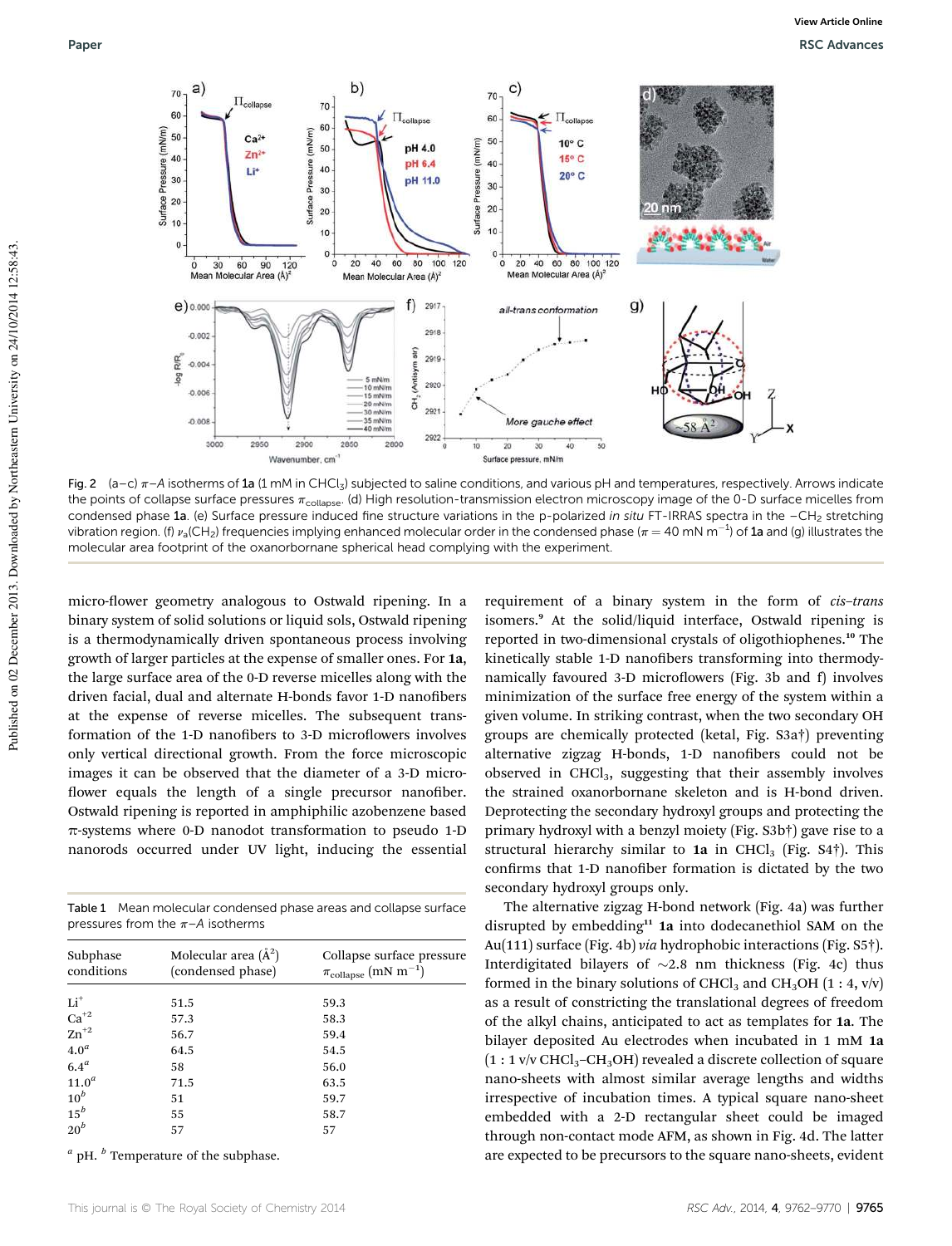

Fig. 2  $(a-c)$   $\pi$ –A isotherms of 1a (1 mM in CHCl<sub>3</sub>) subjected to saline conditions, and various pH and temperatures, respectively. Arrows indicate the points of collapse surface pressures  $\pi_{\rm collapse}$ . (d) High resolution-transmission electron microscopy image of the 0-D surface micelles from condensed phase 1a. (e) Surface pressure induced fine structure variations in the p-polarized in situ FT-IRRAS spectra in the -CH<sub>2</sub> stretching vibration region. (f)  $v_a$ (CH<sub>2</sub>) frequencies implying enhanced molecular order in the condensed phase ( $\pi$  = 40 mN m<sup>-1</sup>) of 1a and (g) illustrates the molecular area footprint of the oxanorbornane spherical head complying with the experiment.

micro-flower geometry analogous to Ostwald ripening. In a binary system of solid solutions or liquid sols, Ostwald ripening is a thermodynamically driven spontaneous process involving growth of larger particles at the expense of smaller ones. For 1a, the large surface area of the 0-D reverse micelles along with the driven facial, dual and alternate H-bonds favor 1-D nanofibers at the expense of reverse micelles. The subsequent transformation of the 1-D nanofibers to 3-D microflowers involves only vertical directional growth. From the force microscopic images it can be observed that the diameter of a 3-D micro flower equals the length of a single precursor nanofiber. Ostwald ripening is reported in amphiphilic azobenzene based  $\pi$ -systems where 0-D nanodot transformation to pseudo 1-D nanorods occurred under UV light, inducing the essential

Table 1 Mean molecular condensed phase areas and collapse surface pressures from the  $\pi$ –A isotherms

| Subphase<br>conditions                      | Molecular area $(\AA^2)$<br>(condensed phase) | Collapse surface pressure<br>$\pi_{\text{collapse}}\left(\text{mN m}^{-1}\right)$ |  |
|---------------------------------------------|-----------------------------------------------|-----------------------------------------------------------------------------------|--|
| $Li+$                                       | 51.5                                          | 59.3                                                                              |  |
|                                             | 57.3                                          | 58.3                                                                              |  |
| $\operatorname{Ca}^{+2}_{\mathbf{Zn}^{+2}}$ | 56.7                                          | 59.4                                                                              |  |
| 4.0 <sup>a</sup>                            | 64.5                                          | 54.5                                                                              |  |
| 6.4 <sup>a</sup>                            | 58                                            | 56.0                                                                              |  |
| 11.0 <sup>a</sup>                           | 71.5                                          | 63.5                                                                              |  |
| $10^b$                                      | 51                                            | 59.7                                                                              |  |
| $15^b$                                      | 55                                            | 58.7                                                                              |  |
| $20^b$                                      | 57                                            | 57                                                                                |  |
|                                             |                                               |                                                                                   |  |

*a* pH. *<sup>b</sup>* Temperature of the subphase.

requirement of a binary system in the form of *cis*–*trans* isomers.<sup>9</sup> At the solid/liquid interface, Ostwald ripening is reported in two-dimensional crystals of oligothiophenes.<sup>10</sup> The kinetically stable 1-D nanofibers transforming into thermodynamically favoured 3-D microflowers (Fig. 3b and f) involves minimization of the surface free energy of the system within a given volume. In striking contrast, when the two secondary OH groups are chemically protected (ketal, Fig. S3a†) preventing alternative zigzag H-bonds, 1-D nanofibers could not be observed in CHCl<sub>3</sub>, suggesting that their assembly involves the strained oxanorbornane skeleton and is H-bond driven. Deprotecting the secondary hydroxyl groups and protecting the primary hydroxyl with a benzyl moiety (Fig. S3b†) gave rise to a structural hierarchy similar to 1a in CHCl<sub>3</sub> (Fig.  $S4\dagger$ ). This confirms that 1-D nanofiber formation is dictated by the two secondary hydroxyl groups only.

The alternative zigzag H-bond network (Fig. 4a) was further disrupted by embedding<sup>11</sup> 1a into dodecanethiol SAM on the Au(111) surface (Fig. 4b) *via* hydrophobic interactions (Fig. S5†). Interdigitated bilayers of  $\sim$ 2.8 nm thickness (Fig. 4c) thus formed in the binary solutions of CHCl<sub>3</sub> and CH<sub>3</sub>OH (1 : 4, v/v) as a result of constricting the translational degrees of freedom of the alkyl chains, anticipated to act as templates for 1a. The bilayer deposited Au electrodes when incubated in 1 mM 1a  $(1:1 \text{ v/v } CHCl<sub>3</sub>-CH<sub>3</sub>OH)$  revealed a discrete collection of square nano-sheets with almost similar average lengths and widths irrespective of incubation times. A typical square nano-sheet embedded with a 2-D rectangular sheet could be imaged through non-contact mode AFM, as shown in Fig. 4d. The latter are expected to be precursors to the square nano-sheets, evident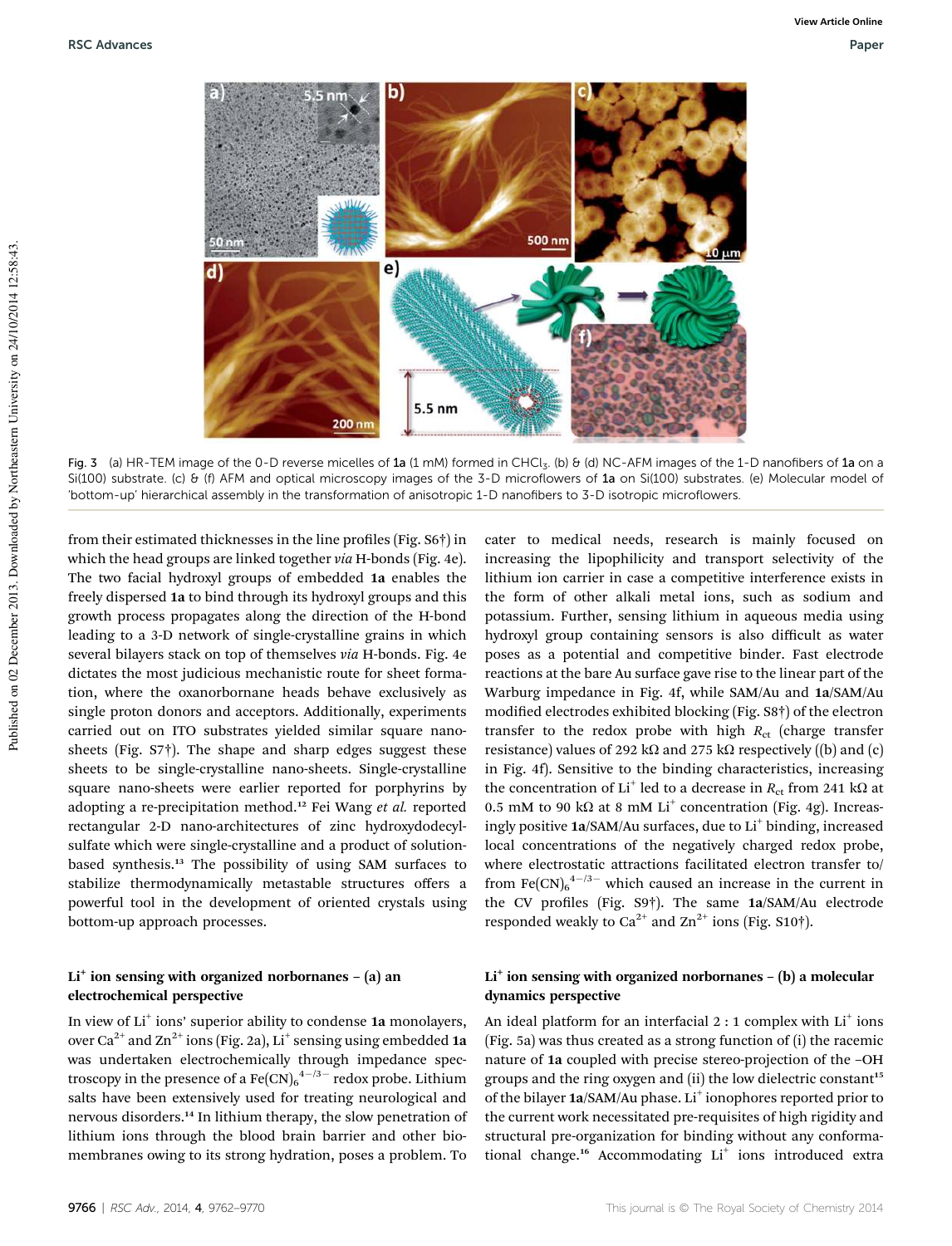

Fig. 3 (a) HR-TEM image of the 0-D reverse micelles of 1a (1 mM) formed in CHCl<sub>3</sub>. (b)  $\theta$  (d) NC-AFM images of the 1-D nanofibers of 1a on a Si(100) substrate. (c) & (f) AFM and optical microscopy images of the 3-D microflowers of 1a on Si(100) substrates. (e) Molecular model of 'bottom-up' hierarchical assembly in the transformation of anisotropic 1-D nanofibers to 3-D isotropic microflowers.

from their estimated thicknesses in the line profiles (Fig. S6†) in which the head groups are linked together *via* H-bonds (Fig. 4e). The two facial hydroxyl groups of embedded 1a enables the freely dispersed 1a to bind through its hydroxyl groups and this growth process propagates along the direction of the H-bond leading to a 3-D network of single-crystalline grains in which several bilayers stack on top of themselves *via* H-bonds. Fig. 4e dictates the most judicious mechanistic route for sheet formation, where the oxanorbornane heads behave exclusively as single proton donors and acceptors. Additionally, experiments carried out on ITO substrates yielded similar square nanosheets (Fig. S7†). The shape and sharp edges suggest these sheets to be single-crystalline nano-sheets. Single-crystalline square nano-sheets were earlier reported for porphyrins by adopting a re-precipitation method.<sup>12</sup> Fei Wang *et al.* reported rectangular 2-D nano-architectures of zinc hydroxydodecylsulfate which were single-crystalline and a product of solutionbased synthesis.<sup>13</sup> The possibility of using SAM surfaces to stabilize thermodynamically metastable structures offers a powerful tool in the development of oriented crystals using bottom-up approach processes.

#### Li<sup>+</sup> ion sensing with organized norbornanes - (a) an electrochemical perspective

In view of Li<sup>+</sup> ions' superior ability to condense 1a monolayers, over Ca $^{2+}$  and Zn $^{2+}$  ions (Fig. 2a), Li $^+$  sensing using embedded 1a was undertaken electrochemically through impedance spectroscopy in the presence of a  $\text{Fe(CN)}_6^{4-7}$  redox probe. Lithium salts have been extensively used for treating neurological and nervous disorders.<sup>14</sup> In lithium therapy, the slow penetration of lithium ions through the blood brain barrier and other biomembranes owing to its strong hydration, poses a problem. To

cater to medical needs, research is mainly focused on increasing the lipophilicity and transport selectivity of the lithium ion carrier in case a competitive interference exists in the form of other alkali metal ions, such as sodium and potassium. Further, sensing lithium in aqueous media using hydroxyl group containing sensors is also difficult as water poses as a potential and competitive binder. Fast electrode reactions at the bare Au surface gave rise to the linear part of the Warburg impedance in Fig. 4f, while SAM/Au and 1a/SAM/Au modified electrodes exhibited blocking (Fig. S8†) of the electron transfer to the redox probe with high  $R_{ct}$  (charge transfer resistance) values of 292 k $\Omega$  and 275 k $\Omega$  respectively ((b) and (c) in Fig. 4f). Sensitive to the binding characteristics, increasing the concentration of Li<sup>+</sup> led to a decrease in  $R_{\rm ct}$  from 241 kΩ at 0.5 mM to 90 k $\Omega$  at 8 mM Li<sup>+</sup> concentration (Fig. 4g). Increasingly positive 1a/SAM/Au surfaces, due to Li<sup>+</sup> binding, increased local concentrations of the negatively charged redox probe, where electrostatic attractions facilitated electron transfer to/ from  $\text{Fe(CN)}_6$ <sup>4-/3-</sup> which caused an increase in the current in the CV profiles (Fig. S9<sup>†</sup>). The same 1a/SAM/Au electrode responded weakly to  $Ca^{2+}$  and  $Zn^{2+}$  ions (Fig. S10†).

### Li<sup>+</sup> ion sensing with organized norbornanes - (b) a molecular dynamics perspective

An ideal platform for an interfacial 2 : 1 complex with Li<sup>+</sup> ions (Fig. 5a) was thus created as a strong function of (i) the racemic nature of 1a coupled with precise stereo-projection of the –OH groups and the ring oxygen and (ii) the low dielectric constant<sup>15</sup> of the bilayer 1a/SAM/Au phase. Li<sup>+</sup> ionophores reported prior to the current work necessitated pre-requisites of high rigidity and structural pre-organization for binding without any conformational change.<sup>16</sup> Accommodating Li<sup>+</sup> ions introduced extra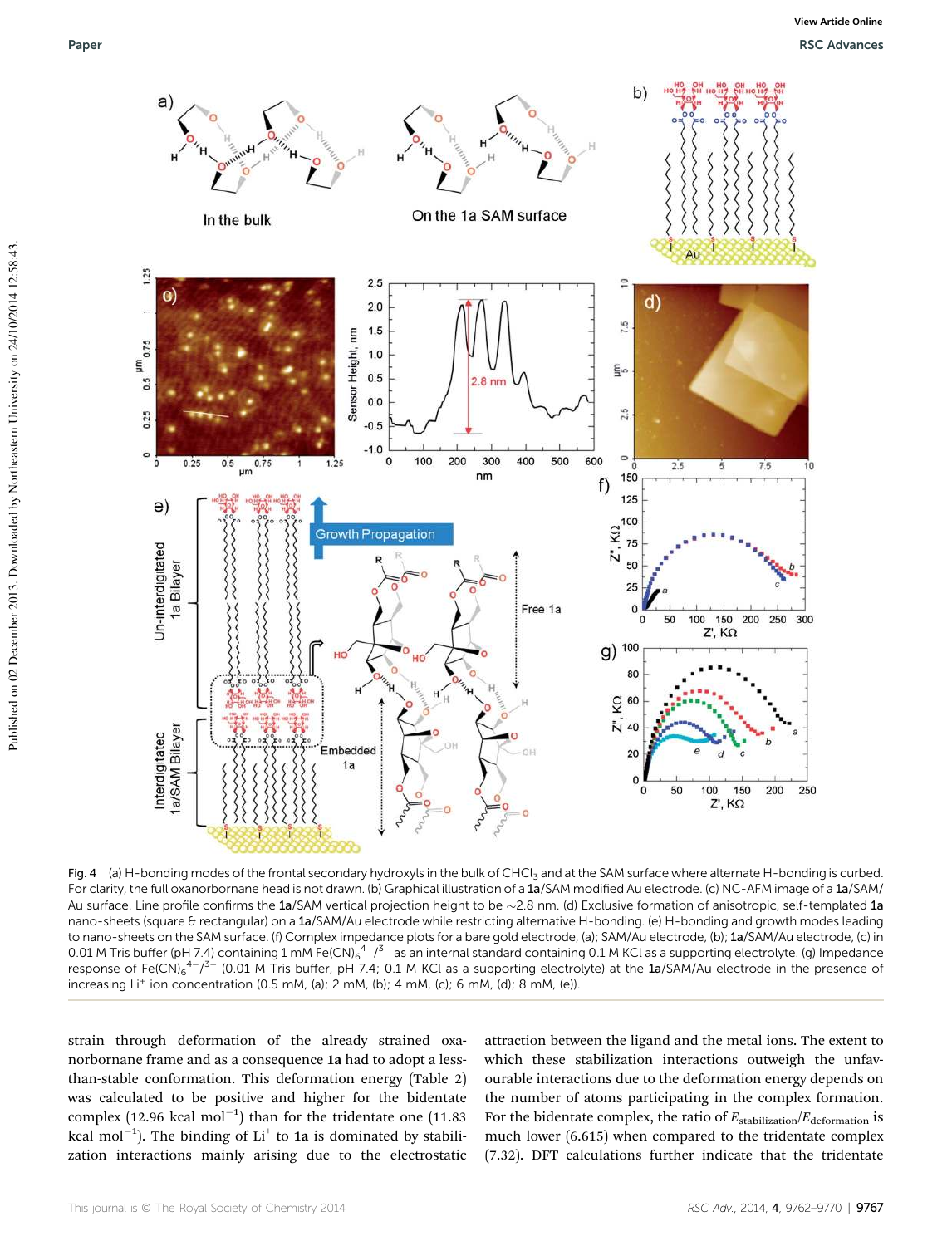

Fig. 4 (a) H-bonding modes of the frontal secondary hydroxyls in the bulk of CHCl<sub>3</sub> and at the SAM surface where alternate H-bonding is curbed. For clarity, the full oxanorbornane head is not drawn. (b) Graphical illustration of a 1a/SAM modified Au electrode. (c) NC-AFM image of a 1a/SAM/ Au surface. Line profile confirms the  $1a/SAM$  vertical projection height to be  $\sim$  2.8 nm. (d) Exclusive formation of anisotropic, self-templated 1a nano-sheets (square & rectangular) on a 1a/SAM/Au electrode while restricting alternative H-bonding. (e) H-bonding and growth modes leading to nano-sheets on the SAM surface. (f) Complex impedance plots for a bare gold electrode, (a); SAM/Au electrode, (b); 1a/SAM/Au electrode, (c) in 0.01 M Tris buffer (pH 7.4) containing 1 mM Fe(CN)<sub>6</sub><sup>4-73-</sup> as an internal standard containing 0.1 M KCl as a supporting electrolyte. (g) Impedance response of Fe(CN)<sub>6</sub><sup>4-</sup>/<sup>3-</sup> (0.01 M Tris buffer, pH 7.4; 0.1 M KCl as a supporting electrolyte) at the 1a/SAM/Au electrode in the presence of increasing Li<sup>+</sup> ion concentration (0.5 mM, (a); 2 mM, (b); 4 mM, (c); 6 mM, (d); 8 mM, (e)).

strain through deformation of the already strained oxanorbornane frame and as a consequence 1a had to adopt a lessthan-stable conformation. This deformation energy (Table 2) was calculated to be positive and higher for the bidentate complex (12.96 kcal mol<sup>-1</sup>) than for the tridentate one (11.83 kcal mol<sup>-1</sup>). The binding of Li<sup>+</sup> to 1a is dominated by stabilization interactions mainly arising due to the electrostatic attraction between the ligand and the metal ions. The extent to which these stabilization interactions outweigh the unfavourable interactions due to the deformation energy depends on the number of atoms participating in the complex formation. For the bidentate complex, the ratio of  $E_{\text{stabilization}}/E_{\text{deformation}}$  is much lower (6.615) when compared to the tridentate complex (7.32). DFT calculations further indicate that the tridentate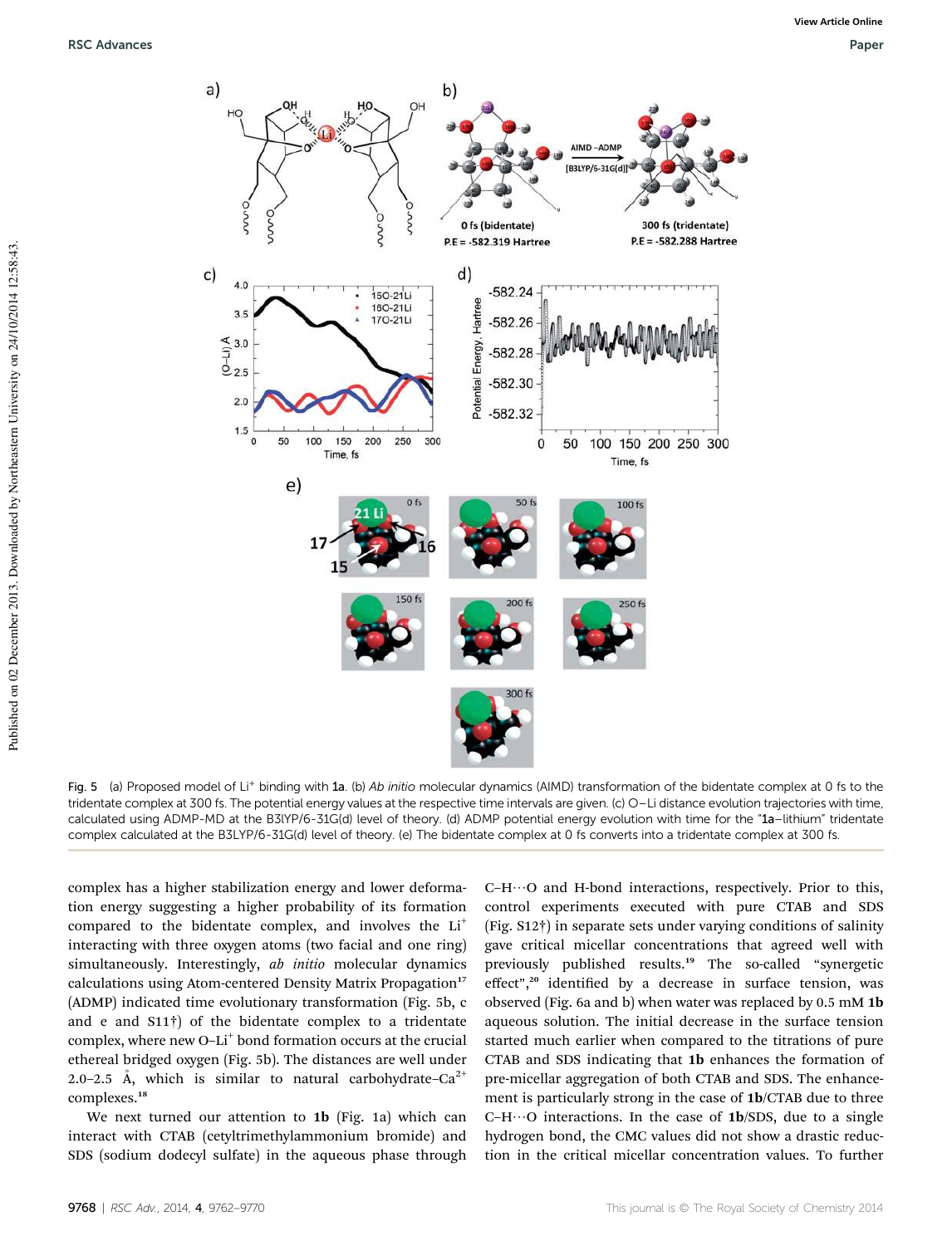

Fig. 5 (a) Proposed model of Li<sup>+</sup> binding with 1a. (b) Ab initio molecular dynamics (AIMD) transformation of the bidentate complex at 0 fs to the tridentate complex at 300 fs. The potential energy values at the respective time intervals are given. (c) O-Li distance evolution trajectories with time, calculated using ADMP-MD at the B3lYP/6-31G(d) level of theory. (d) ADMP potential energy evolution with time for the "1a–lithium" tridentate complex calculated at the B3LYP/6-31G(d) level of theory. (e) The bidentate complex at 0 fs converts into a tridentate complex at 300 fs.

complex has a higher stabilization energy and lower deformation energy suggesting a higher probability of its formation compared to the bidentate complex, and involves the Li<sup>+</sup> interacting with three oxygen atoms (two facial and one ring) simultaneously. Interestingly, *ab initio* molecular dynamics calculations using Atom-centered Density Matrix Propagation<sup>17</sup> (ADMP) indicated time evolutionary transformation (Fig. 5b, c and e and S11†) of the bidentate complex to a tridentate complex, where new O-Li<sup>+</sup> bond formation occurs at the crucial ethereal bridged oxygen (Fig. 5b). The distances are well under 2.0–2.5 Å, which is similar to natural carbohydrate– $Ca^{2+}$ complexes.<sup>18</sup>

We next turned our attention to 1b (Fig. 1a) which can interact with CTAB (cetyltrimethylammonium bromide) and SDS (sodium dodecyl sulfate) in the aqueous phase through

 $C-H\cdots O$  and H-bond interactions, respectively. Prior to this, control experiments executed with pure CTAB and SDS (Fig. S12†) in separate sets under varying conditions of salinity gave critical micellar concentrations that agreed well with previously published results.<sup>19</sup> The so-called "synergetic effect",<sup>20</sup> identified by a decrease in surface tension, was observed (Fig. 6a and b) when water was replaced by 0.5 mM 1b aqueous solution. The initial decrease in the surface tension started much earlier when compared to the titrations of pure CTAB and SDS indicating that 1b enhances the formation of pre-micellar aggregation of both CTAB and SDS. The enhancement is particularly strong in the case of 1b/CTAB due to three  $C-H\cdots O$  interactions. In the case of 1b/SDS, due to a single hydrogen bond, the CMC values did not show a drastic reduction in the critical micellar concentration values. To further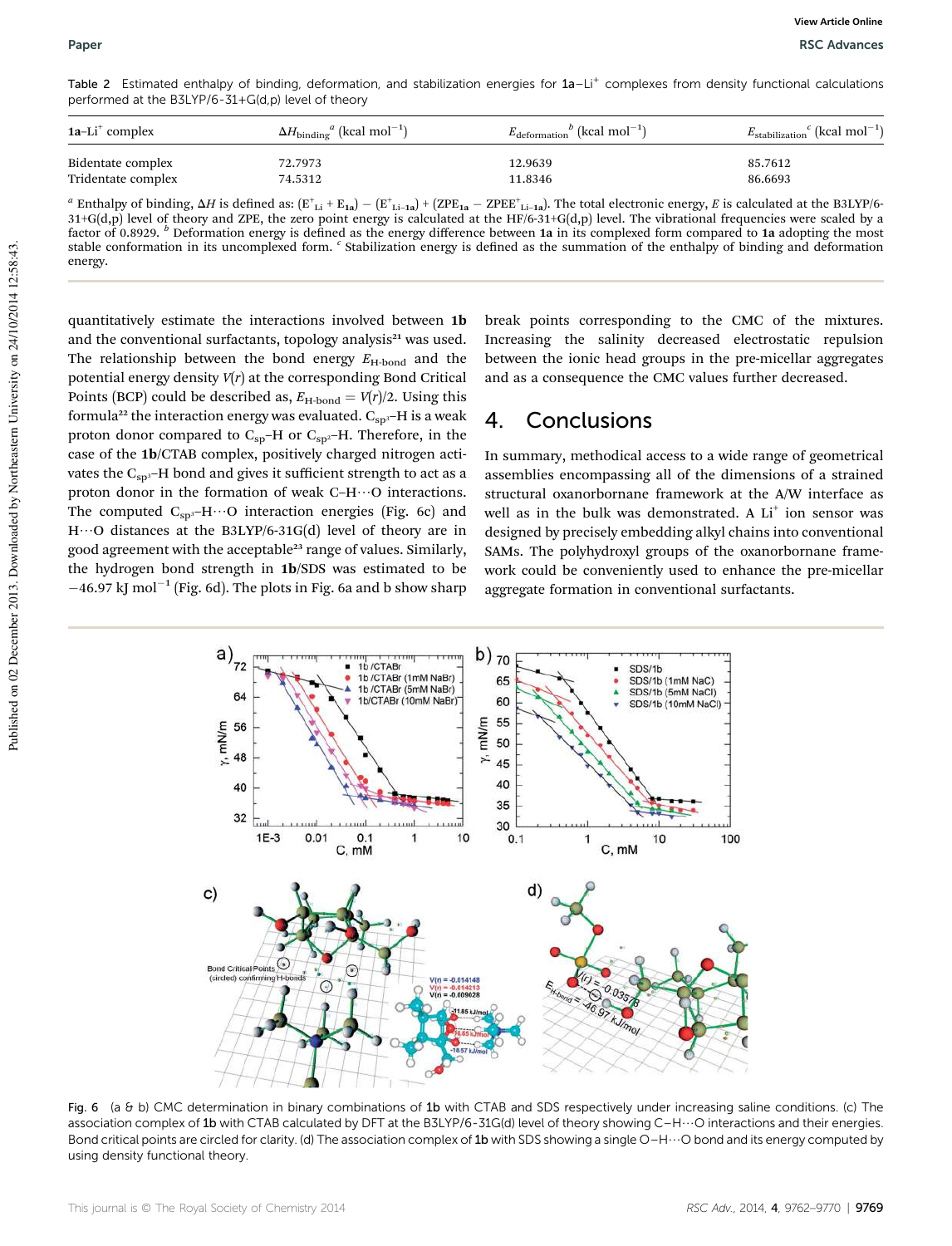Table 2 Estimated enthalpy of binding, deformation, and stabilization energies for 1a-Li<sup>+</sup> complexes from density functional calculations performed at the B3LYP/6-31+G(d,p) level of theory

| $1a-Li^+$ complex  | $\Delta H_{\text{binding}}^a$ (kcal mol <sup>-1</sup> ) | $E_{\text{deformation}}^b$ (kcal mol <sup>-1</sup> ) | $E_{\text{stabilization}}^c$ (kcal mol <sup>-1</sup> ) |
|--------------------|---------------------------------------------------------|------------------------------------------------------|--------------------------------------------------------|
| Bidentate complex  | 72.7973                                                 | 12.9639                                              | 85.7612                                                |
| Tridentate complex | 74.5312                                                 | 11.8346                                              | 86.6693                                                |

 $^a$  Enthalpy of binding,  $\Delta H$  is defined as:  $(\text{E}^\text{+}{}_{\text{Li}} + \text{E}_{\text{1a}}) - (\text{E}^\text{+}{}_{\text{Li-1a}}) + (\text{ZPE}_{\text{1a}} - \text{ZPEE}^\text{+}{}_{\text{Li-1a}})$ . The total electronic energy, *E* is calculated at the B3LYP/6- $31+G(d,p)$  level of theory and ZPE, the zero point energy is calculated at the HF/6-31+G(d,p) level. The vibrational frequencies were scaled by a factor of 0.8929. <sup>*b*</sup> Deformation energy is defined as the energy difference between 1a in its complexed form compared to 1a adopting the most stable conformation in its uncomplexed form. <sup>c</sup> Stabilization energy is defined as the summation of the enthalpy of binding and deformation energy.

quantitatively estimate the interactions involved between 1b and the conventional surfactants, topology analysis $21$  was used. The relationship between the bond energy  $E_{\text{H-bond}}$  and the potential energy density *V*(*r*) at the corresponding Bond Critical Points (BCP) could be described as,  $E_{\text{H-bond}} = V(r)/2$ . Using this formula<sup>22</sup> the interaction energy was evaluated.  $C_{sp3}$ -H is a weak proton donor compared to  $C_{sp}$ -H or  $C_{sp^2}$ -H. Therefore, in the case of the 1b/CTAB complex, positively charged nitrogen activates the C<sub>sp3</sub>-H bond and gives it sufficient strength to act as a proton donor in the formation of weak C–H $\cdots$ O interactions. The computed  $C_{sp3}$ -H $\cdots$ O interaction energies (Fig. 6c) and  $H\cdots$ O distances at the B3LYP/6-31G(d) level of theory are in good agreement with the acceptable<sup>23</sup> range of values. Similarly, the hydrogen bond strength in 1b/SDS was estimated to be  $-46.97$  kJ mol<sup>-1</sup> (Fig. 6d). The plots in Fig. 6a and b show sharp

break points corresponding to the CMC of the mixtures. Increasing the salinity decreased electrostatic repulsion between the ionic head groups in the pre-micellar aggregates and as a consequence the CMC values further decreased.

### 4. Conclusions

In summary, methodical access to a wide range of geometrical assemblies encompassing all of the dimensions of a strained structural oxanorbornane framework at the A/W interface as well as in the bulk was demonstrated. A  $Li<sup>+</sup>$  ion sensor was designed by precisely embedding alkyl chains into conventional SAMs. The polyhydroxyl groups of the oxanorbornane framework could be conveniently used to enhance the pre-micellar aggregate formation in conventional surfactants.



Fig. 6 (a & b) CMC determination in binary combinations of 1b with CTAB and SDS respectively under increasing saline conditions. (c) The association complex of 1b with CTAB calculated by DFT at the B3LYP/6-31G(d) level of theory showing C-H $\cdots$ O interactions and their energies. Bond critical points are circled for clarity. (d) The association complex of 1b with SDS showing a single O–H $\cdots$ O bond and its energy computed by using density functional theory.